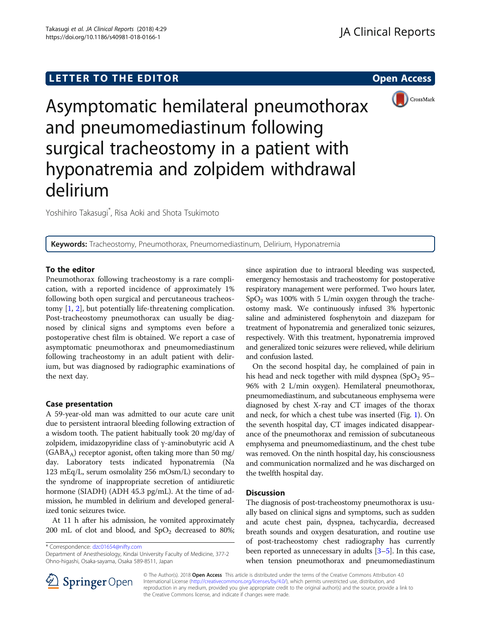# LETTER TO THE EDITOR **CONSIDERING THE EDITOR** CONSIDERING THE STATE AND THE STATE ASSAULT THE STATE AND THE STATE ASSAULT THE STATE AND THE STATE AND THE STATE AND THE STATE AND THE STATE AND THE STATE AND THE STATE AND TH



Asymptomatic hemilateral pneumothorax and pneumomediastinum following surgical tracheostomy in a patient with hyponatremia and zolpidem withdrawal delirium

Yoshihiro Takasugi\* , Risa Aoki and Shota Tsukimoto

Keywords: Tracheostomy, Pneumothorax, Pneumomediastinum, Delirium, Hyponatremia

## To the editor

Pneumothorax following tracheostomy is a rare complication, with a reported incidence of approximately 1% following both open surgical and percutaneous tracheostomy [[1,](#page-1-0) [2\]](#page-1-0), but potentially life-threatening complication. Post-tracheostomy pneumothorax can usually be diagnosed by clinical signs and symptoms even before a postoperative chest film is obtained. We report a case of asymptomatic pneumothorax and pneumomediastinum following tracheostomy in an adult patient with delirium, but was diagnosed by radiographic examinations of the next day.

# Case presentation

A 59-year-old man was admitted to our acute care unit due to persistent intraoral bleeding following extraction of a wisdom tooth. The patient habitually took 20 mg/day of zolpidem, imidazopyridine class of γ-aminobutyric acid A  $(GABA_A)$  receptor agonist, often taking more than 50 mg/ day. Laboratory tests indicated hyponatremia (Na 123 mEq/L, serum osmolality 256 mOsm/L) secondary to the syndrome of inappropriate secretion of antidiuretic hormone (SIADH) (ADH 45.3 pg/mL). At the time of admission, he mumbled in delirium and developed generalized tonic seizures twice.

At 11 h after his admission, he vomited approximately 200 mL of clot and blood, and  $SpO<sub>2</sub>$  decreased to 80%;

\* Correspondence: [dzc01654@nifty.com](mailto:dzc01654@nifty.com)

since aspiration due to intraoral bleeding was suspected, emergency hemostasis and tracheostomy for postoperative respiratory management were performed. Two hours later,  $SpO<sub>2</sub>$  was 100% with 5 L/min oxygen through the tracheostomy mask. We continuously infused 3% hypertonic saline and administered fosphenytoin and diazepam for treatment of hyponatremia and generalized tonic seizures, respectively. With this treatment, hyponatremia improved and generalized tonic seizures were relieved, while delirium and confusion lasted.

On the second hospital day, he complained of pain in his head and neck together with mild dyspnea  $(SpO<sub>2</sub> 95–$ 96% with 2 L/min oxygen). Hemilateral pneumothorax, pneumomediastinum, and subcutaneous emphysema were diagnosed by chest X-ray and CT images of the thorax and neck, for which a chest tube was inserted (Fig. [1](#page-1-0)). On the seventh hospital day, CT images indicated disappearance of the pneumothorax and remission of subcutaneous emphysema and pneumomediastinum, and the chest tube was removed. On the ninth hospital day, his consciousness and communication normalized and he was discharged on the twelfth hospital day.

# **Discussion**

The diagnosis of post-tracheostomy pneumothorax is usually based on clinical signs and symptoms, such as sudden and acute chest pain, dyspnea, tachycardia, decreased breath sounds and oxygen desaturation, and routine use of post-tracheostomy chest radiography has currently been reported as unnecessary in adults [\[3](#page-1-0)–[5\]](#page-1-0). In this case, when tension pneumothorax and pneumomediastinum



© The Author(s). 2018 Open Access This article is distributed under the terms of the Creative Commons Attribution 4.0 International License ([http://creativecommons.org/licenses/by/4.0/\)](http://creativecommons.org/licenses/by/4.0/), which permits unrestricted use, distribution, and reproduction in any medium, provided you give appropriate credit to the original author(s) and the source, provide a link to the Creative Commons license, and indicate if changes were made.

Department of Anesthesiology, Kindai University Faculty of Medicine, 377-2 Ohno-higashi, Osaka-sayama, Osaka 589-8511, Japan